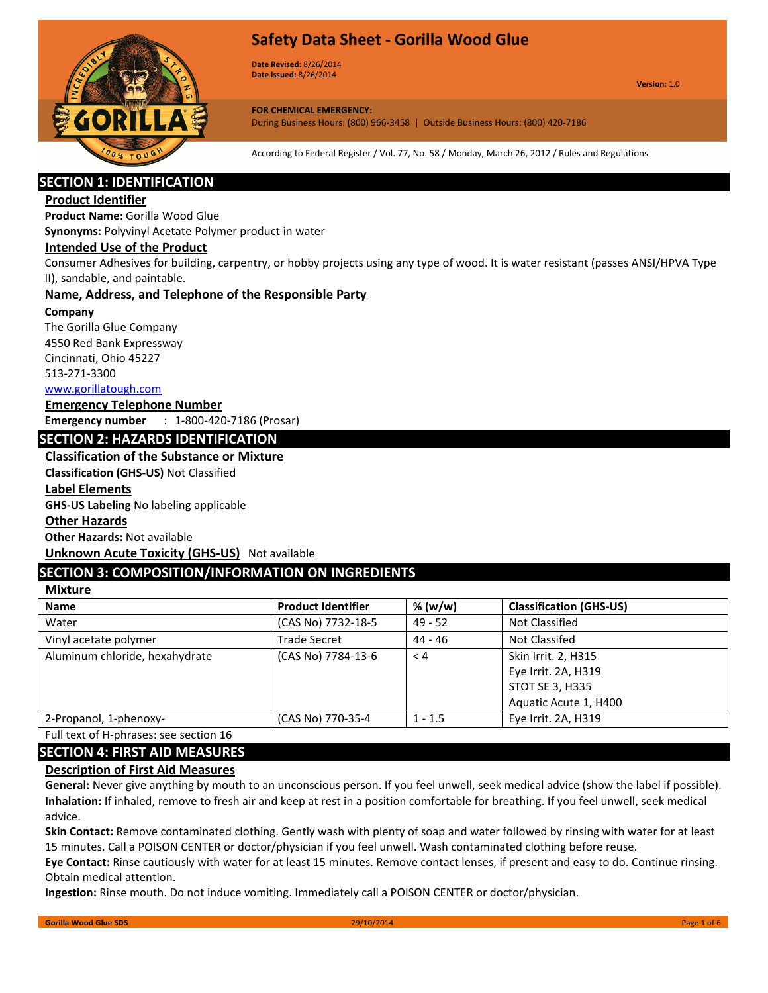

Date Revised: 8/26/2014 Date Issued: 8/26/2014

Version: 1.0

FOR CHEMICAL EMERGENCY: During Business Hours: (800) 966-3458 | Outside Business Hours: (800) 420-7186

According to Federal Register / Vol. 77, No. 58 / Monday, March 26, 2012 / Rules and Regulations

# SECTION 1: IDENTIFICATION

# Product Identifier

Product Name: Gorilla Wood Glue

Synonyms: Polyvinyl Acetate Polymer product in water

# Intended Use of the Product

Consumer Adhesives for building, carpentry, or hobby projects using any type of wood. It is water resistant (passes ANSI/HPVA Type II), sandable, and paintable.

## Name, Address, and Telephone of the Responsible Party

#### Company

The Gorilla Glue Company 4550 Red Bank Expressway Cincinnati, Ohio 45227 513-271-3300

www.gorillatough.com

### Emergency Telephone Number

Emergency number : 1-800-420-7186 (Prosar)

# SECTION 2: HAZARDS IDENTIFICATION

# Classification of the Substance or Mixture

Classification (GHS-US) Not Classified

### Label Elements

GHS-US Labeling No labeling applicable

#### Other Hazards

Other Hazards: Not available

**Unknown Acute Toxicity (GHS-US)** Not available

# SECTION 3: COMPOSITION/INFORMATION ON INGREDIENTS

# **Mixture**

| <b>Name</b>                    | <b>Product Identifier</b> | % (w/w)   | <b>Classification (GHS-US)</b>                                                                |
|--------------------------------|---------------------------|-----------|-----------------------------------------------------------------------------------------------|
| Water                          | (CAS No) 7732-18-5        | $49 - 52$ | Not Classified                                                                                |
| Vinyl acetate polymer          | <b>Trade Secret</b>       | 44 - 46   | Not Classifed                                                                                 |
| Aluminum chloride, hexahydrate | (CAS No) 7784-13-6        | $\leq 4$  | Skin Irrit. 2, H315<br>Eye Irrit. 2A, H319<br><b>STOT SE 3, H335</b><br>Aquatic Acute 1, H400 |
| 2-Propanol, 1-phenoxy-         | (CAS No) 770-35-4         | $1 - 1.5$ | Eye Irrit. 2A, H319                                                                           |

Full text of H-phrases: see section 16

# SECTION 4: FIRST AID MEASURES

## Description of First Aid Measures

General: Never give anything by mouth to an unconscious person. If you feel unwell, seek medical advice (show the label if possible). Inhalation: If inhaled, remove to fresh air and keep at rest in a position comfortable for breathing. If you feel unwell, seek medical advice.

Skin Contact: Remove contaminated clothing. Gently wash with plenty of soap and water followed by rinsing with water for at least 15 minutes. Call a POISON CENTER or doctor/physician if you feel unwell. Wash contaminated clothing before reuse.

Eye Contact: Rinse cautiously with water for at least 15 minutes. Remove contact lenses, if present and easy to do. Continue rinsing. Obtain medical attention.

Ingestion: Rinse mouth. Do not induce vomiting. Immediately call a POISON CENTER or doctor/physician.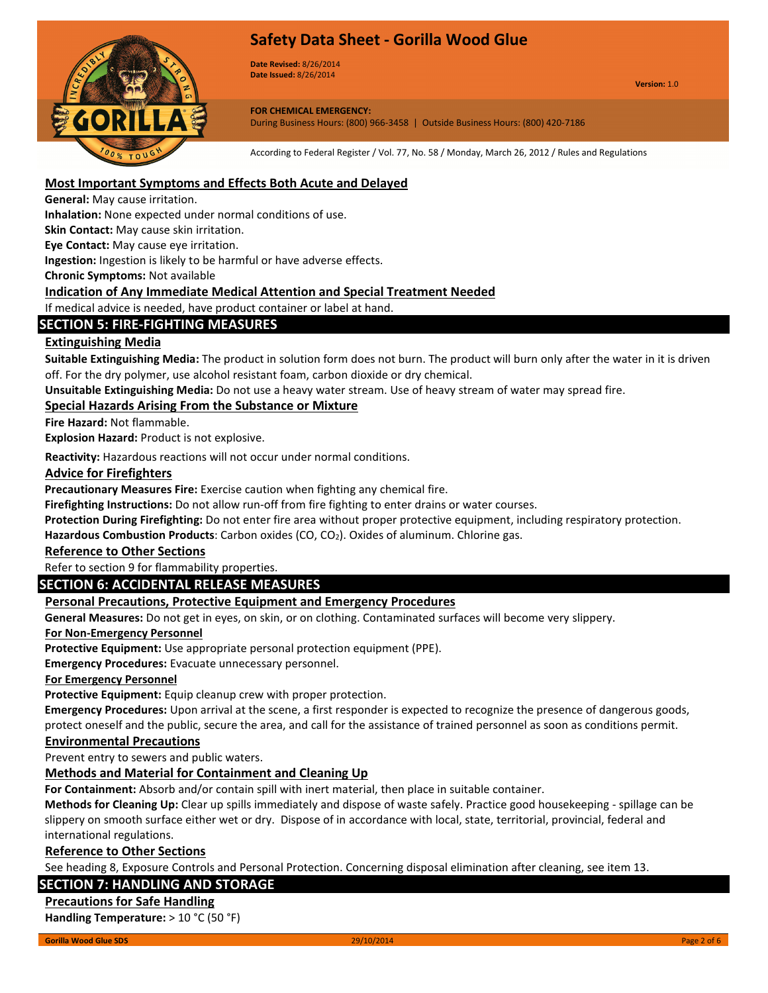

Date Revised: 8/26/2014 Date Issued: 8/26/2014

Version: 1.0

#### FOR CHEMICAL EMERGENCY: During Business Hours: (800) 966-3458 | Outside Business Hours: (800) 420-7186

According to Federal Register / Vol. 77, No. 58 / Monday, March 26, 2012 / Rules and Regulations

# Most Important Symptoms and Effects Both Acute and Delayed

General: May cause irritation.

Inhalation: None expected under normal conditions of use.

Skin Contact: May cause skin irritation.

Eye Contact: May cause eye irritation.

Ingestion: Ingestion is likely to be harmful or have adverse effects.

Chronic Symptoms: Not available

# Indication of Any Immediate Medical Attention and Special Treatment Needed

If medical advice is needed, have product container or label at hand.

# SECTION 5: FIRE-FIGHTING MEASURES

# Extinguishing Media

Suitable Extinguishing Media: The product in solution form does not burn. The product will burn only after the water in it is driven off. For the dry polymer, use alcohol resistant foam, carbon dioxide or dry chemical.

Unsuitable Extinguishing Media: Do not use a heavy water stream. Use of heavy stream of water may spread fire.

# Special Hazards Arising From the Substance or Mixture

Fire Hazard: Not flammable.

Explosion Hazard: Product is not explosive.

Reactivity: Hazardous reactions will not occur under normal conditions.

### Advice for Firefighters

Precautionary Measures Fire: Exercise caution when fighting any chemical fire.

Firefighting Instructions: Do not allow run-off from fire fighting to enter drains or water courses.

Protection During Firefighting: Do not enter fire area without proper protective equipment, including respiratory protection.

Hazardous Combustion Products: Carbon oxides (CO, CO<sub>2</sub>). Oxides of aluminum. Chlorine gas.

## Reference to Other Sections

Refer to section 9 for flammability properties.

# SECTION 6: ACCIDENTAL RELEASE MEASURES

## Personal Precautions, Protective Equipment and Emergency Procedures

General Measures: Do not get in eyes, on skin, or on clothing. Contaminated surfaces will become very slippery.

#### For Non-Emergency Personnel

Protective Equipment: Use appropriate personal protection equipment (PPE).

Emergency Procedures: Evacuate unnecessary personnel.

#### For Emergency Personnel

Protective Equipment: Equip cleanup crew with proper protection.

Emergency Procedures: Upon arrival at the scene, a first responder is expected to recognize the presence of dangerous goods, protect oneself and the public, secure the area, and call for the assistance of trained personnel as soon as conditions permit.

## Environmental Precautions

Prevent entry to sewers and public waters.

## Methods and Material for Containment and Cleaning Up

For Containment: Absorb and/or contain spill with inert material, then place in suitable container.

Methods for Cleaning Up: Clear up spills immediately and dispose of waste safely. Practice good housekeeping - spillage can be slippery on smooth surface either wet or dry. Dispose of in accordance with local, state, territorial, provincial, federal and international regulations.

## Reference to Other Sections

See heading 8, Exposure Controls and Personal Protection. Concerning disposal elimination after cleaning, see item 13.

## SECTION 7: HANDLING AND STORAGE

#### Precautions for Safe Handling

Handling Temperature: > 10 °C (50 °F)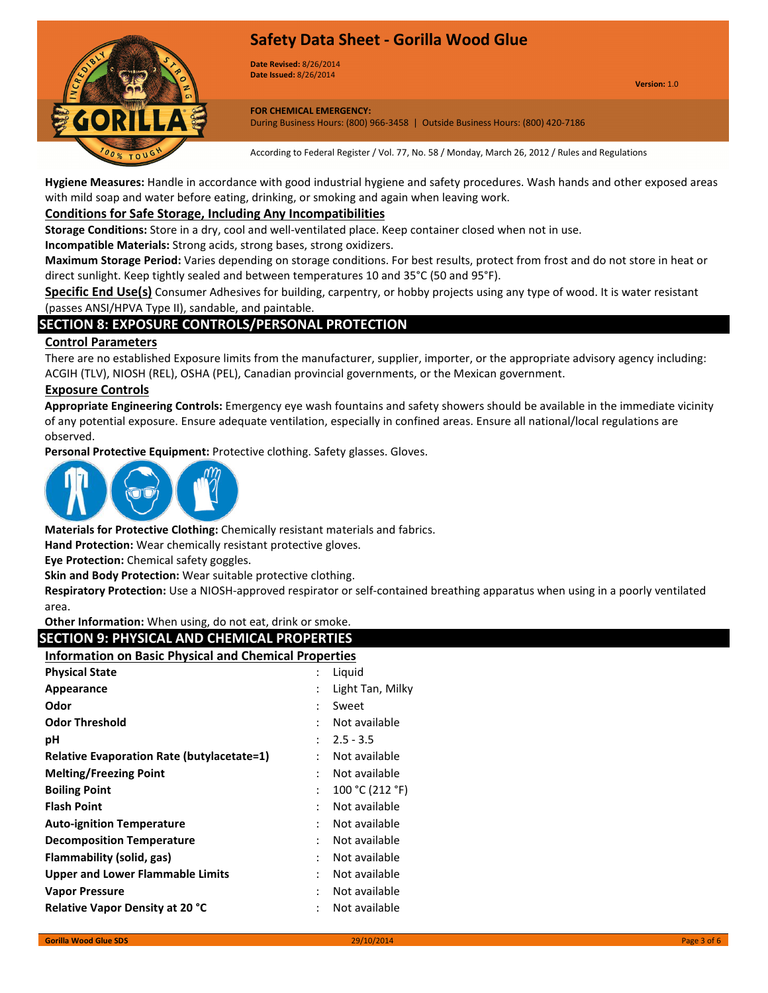



Date Revised: 8/26/2014 Date Issued: 8/26/2014

FOR CHEMICAL EMERGENCY: During Business Hours: (800) 966-3458 | Outside Business Hours: (800) 420-7186

According to Federal Register / Vol. 77, No. 58 / Monday, March 26, 2012 / Rules and Regulations

Hygiene Measures: Handle in accordance with good industrial hygiene and safety procedures. Wash hands and other exposed areas with mild soap and water before eating, drinking, or smoking and again when leaving work.

# Conditions for Safe Storage, Including Any Incompatibilities

Storage Conditions: Store in a dry, cool and well-ventilated place. Keep container closed when not in use.

Incompatible Materials: Strong acids, strong bases, strong oxidizers.

Maximum Storage Period: Varies depending on storage conditions. For best results, protect from frost and do not store in heat or direct sunlight. Keep tightly sealed and between temperatures 10 and 35°C (50 and 95°F).

Specific End Use(s) Consumer Adhesives for building, carpentry, or hobby projects using any type of wood. It is water resistant (passes ANSI/HPVA Type II), sandable, and paintable.

# SECTION 8: EXPOSURE CONTROLS/PERSONAL PROTECTION

## Control Parameters

There are no established Exposure limits from the manufacturer, supplier, importer, or the appropriate advisory agency including: ACGIH (TLV), NIOSH (REL), OSHA (PEL), Canadian provincial governments, or the Mexican government.

### Exposure Controls

Appropriate Engineering Controls: Emergency eye wash fountains and safety showers should be available in the immediate vicinity of any potential exposure. Ensure adequate ventilation, especially in confined areas. Ensure all national/local regulations are observed.

Personal Protective Equipment: Protective clothing. Safety glasses. Gloves.



Materials for Protective Clothing: Chemically resistant materials and fabrics.

Hand Protection: Wear chemically resistant protective gloves.

Eye Protection: Chemical safety goggles.

Skin and Body Protection: Wear suitable protective clothing.

Respiratory Protection: Use a NIOSH-approved respirator or self-contained breathing apparatus when using in a poorly ventilated area.

Other Information: When using, do not eat, drink or smoke.

| <b>SECTION 9: PHYSICAL AND CHEMICAL PROPERTIES</b>           |                            |  |  |
|--------------------------------------------------------------|----------------------------|--|--|
| <b>Information on Basic Physical and Chemical Properties</b> |                            |  |  |
| <b>Physical State</b>                                        | Liquid                     |  |  |
| Appearance                                                   | Light Tan, Milky           |  |  |
| Odor                                                         | Sweet                      |  |  |
| <b>Odor Threshold</b>                                        | Not available              |  |  |
| рH                                                           | $2.5 - 3.5$                |  |  |
| <b>Relative Evaporation Rate (butylacetate=1)</b>            | Not available<br>÷         |  |  |
| <b>Melting/Freezing Point</b>                                | Not available              |  |  |
| <b>Boiling Point</b>                                         | 100 °C (212 °F)            |  |  |
| <b>Flash Point</b>                                           | Not available<br>$\bullet$ |  |  |
| <b>Auto-ignition Temperature</b>                             | Not available              |  |  |
| <b>Decomposition Temperature</b>                             | Not available              |  |  |
| Flammability (solid, gas)                                    | Not available<br>٠         |  |  |
| <b>Upper and Lower Flammable Limits</b>                      | Not available              |  |  |
| <b>Vapor Pressure</b>                                        | Not available<br>٠         |  |  |
| <b>Relative Vapor Density at 20 °C</b>                       | Not available              |  |  |
|                                                              |                            |  |  |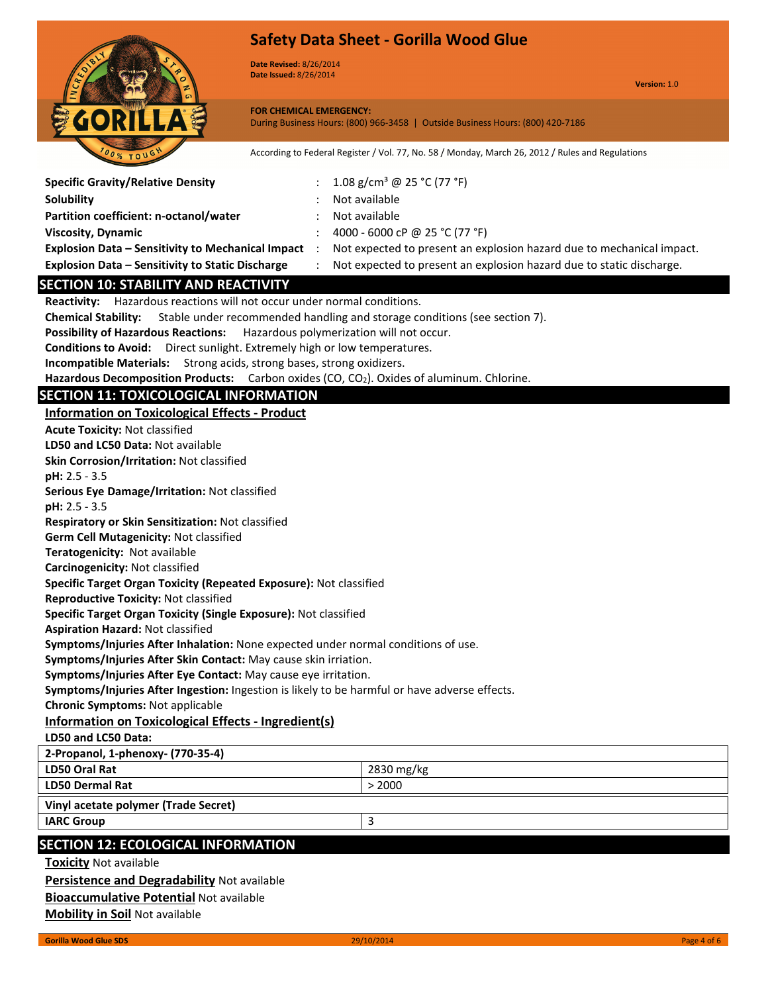

Date Revised: 8/26/2014 Date Issued: 8/26/2014

Specific Gravity/Relative Density :  $1.08 \text{ g/cm}^3 \text{ @ } 25 \text{ °C} (77 \text{ °F})$ 

Version: 1.0

FOR CHEMICAL EMERGENCY: During Business Hours: (800) 966-3458 | Outside Business Hours: (800) 420-7186

According to Federal Register / Vol. 77, No. 58 / Monday, March 26, 2012 / Rules and Regulations

| <b>Solubility</b>                                                                             | Not available                                                                      |  |
|-----------------------------------------------------------------------------------------------|------------------------------------------------------------------------------------|--|
| Partition coefficient: n-octanol/water                                                        | Not available                                                                      |  |
| <b>Viscosity, Dynamic</b>                                                                     | 4000 - 6000 cP @ 25 °C (77 °F)                                                     |  |
| <b>Explosion Data - Sensitivity to Mechanical Impact</b>                                      | Not expected to present an explosion hazard due to mechanical impact.<br>$\cdot$ : |  |
| Explosion Data - Sensitivity to Static Discharge                                              | Not expected to present an explosion hazard due to static discharge.               |  |
| <b>SECTION 10: STABILITY AND REACTIVITY</b>                                                   |                                                                                    |  |
| Reactivity: Hazardous reactions will not occur under normal conditions.                       |                                                                                    |  |
| <b>Chemical Stability:</b>                                                                    | Stable under recommended handling and storage conditions (see section 7).          |  |
| <b>Possibility of Hazardous Reactions:</b>                                                    | Hazardous polymerization will not occur.                                           |  |
| Conditions to Avoid: Direct sunlight. Extremely high or low temperatures.                     |                                                                                    |  |
| Incompatible Materials: Strong acids, strong bases, strong oxidizers.                         |                                                                                    |  |
| Hazardous Decomposition Products: Carbon oxides (CO, CO2). Oxides of aluminum. Chlorine.      |                                                                                    |  |
| <b>SECTION 11: TOXICOLOGICAL INFORMATION</b>                                                  |                                                                                    |  |
| <b>Information on Toxicological Effects - Product</b>                                         |                                                                                    |  |
| <b>Acute Toxicity: Not classified</b>                                                         |                                                                                    |  |
| LD50 and LC50 Data: Not available                                                             |                                                                                    |  |
| Skin Corrosion/Irritation: Not classified                                                     |                                                                                    |  |
| $pH: 2.5 - 3.5$                                                                               |                                                                                    |  |
| Serious Eye Damage/Irritation: Not classified                                                 |                                                                                    |  |
| pH: 2.5 - 3.5                                                                                 |                                                                                    |  |
| Respiratory or Skin Sensitization: Not classified                                             |                                                                                    |  |
| Germ Cell Mutagenicity: Not classified                                                        |                                                                                    |  |
| Teratogenicity: Not available                                                                 |                                                                                    |  |
| Carcinogenicity: Not classified                                                               |                                                                                    |  |
| Specific Target Organ Toxicity (Repeated Exposure): Not classified                            |                                                                                    |  |
| <b>Reproductive Toxicity: Not classified</b>                                                  |                                                                                    |  |
| Specific Target Organ Toxicity (Single Exposure): Not classified                              |                                                                                    |  |
| <b>Aspiration Hazard: Not classified</b>                                                      |                                                                                    |  |
| Symptoms/Injuries After Inhalation: None expected under normal conditions of use.             |                                                                                    |  |
| Symptoms/Injuries After Skin Contact: May cause skin irriation.                               |                                                                                    |  |
| Symptoms/Injuries After Eye Contact: May cause eye irritation.                                |                                                                                    |  |
| Symptoms/Injuries After Ingestion: Ingestion is likely to be harmful or have adverse effects. |                                                                                    |  |
| <b>Chronic Symptoms: Not applicable</b>                                                       |                                                                                    |  |
| Information on Toxicological Effects - Ingredient(s)                                          |                                                                                    |  |
| LD50 and LC50 Data:                                                                           |                                                                                    |  |
| 2-Propanol, 1-phenoxy- (770-35-4)<br>LD50 Oral Rat                                            |                                                                                    |  |
| <b>LD50 Dermal Rat</b>                                                                        | 2830 mg/kg<br>> 2000                                                               |  |
|                                                                                               |                                                                                    |  |
| Vinyl acetate polymer (Trade Secret)                                                          |                                                                                    |  |
| <b>IARC Group</b><br>3                                                                        |                                                                                    |  |
| <b>SECTION 12: ECOLOGICAL INFORMATION</b>                                                     |                                                                                    |  |
| <b>Toxicity Not available</b>                                                                 |                                                                                    |  |
| Persistence and Degradability Not available                                                   |                                                                                    |  |
|                                                                                               |                                                                                    |  |

**Bioaccumulative Potential Not available** 

**Mobility in Soil Not available**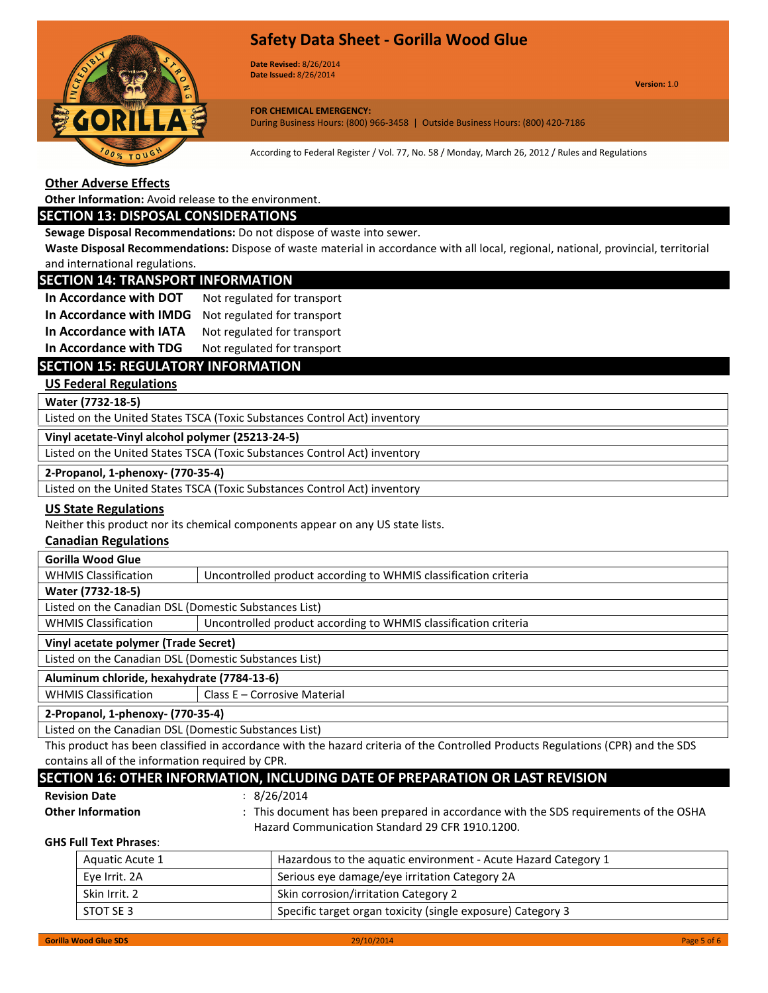

Date Revised: 8/26/2014 Date Issued: 8/26/2014

Version: 1.0

FOR CHEMICAL EMERGENCY: During Business Hours: (800) 966-3458 | Outside Business Hours: (800) 420-7186

According to Federal Register / Vol. 77, No. 58 / Monday, March 26, 2012 / Rules and Regulations

## Other Adverse Effects

Other Information: Avoid release to the environment.

### SECTION 13: DISPOSAL CONSIDERATIONS

Sewage Disposal Recommendations: Do not dispose of waste into sewer.

Waste Disposal Recommendations: Dispose of waste material in accordance with all local, regional, national, provincial, territorial and international regulations.

# SECTION 14: TRANSPORT INFORMATION

| In Accordance with DOT  | Not regulated for transport |
|-------------------------|-----------------------------|
| In Accordance with IMDG | Not regulated for transport |
| In Accordance with IATA | Not regulated for transport |
|                         |                             |

# In Accordance with TDG Not regulated for transport

## SECTION 15: REGULATORY INFORMATION

## US Federal Regulations

Water (7732-18-5)

Listed on the United States TSCA (Toxic Substances Control Act) inventory

Vinyl acetate-Vinyl alcohol polymer (25213-24-5)

Listed on the United States TSCA (Toxic Substances Control Act) inventory

#### 2-Propanol, 1-phenoxy- (770-35-4)

Listed on the United States TSCA (Toxic Substances Control Act) inventory

## US State Regulations

Neither this product nor its chemical components appear on any US state lists.

## Canadian Regulations

| <b>Gorilla Wood Glue</b>                                                                       |                              |  |
|------------------------------------------------------------------------------------------------|------------------------------|--|
| <b>WHMIS Classification</b><br>Uncontrolled product according to WHMIS classification criteria |                              |  |
| Water (7732-18-5)                                                                              |                              |  |
| Listed on the Canadian DSL (Domestic Substances List)                                          |                              |  |
| <b>WHMIS Classification</b><br>Uncontrolled product according to WHMIS classification criteria |                              |  |
| Vinyl acetate polymer (Trade Secret)                                                           |                              |  |
| Listed on the Canadian DSL (Domestic Substances List)                                          |                              |  |
| Aluminum chloride, hexahydrate (7784-13-6)                                                     |                              |  |
| <b>WHMIS Classification</b>                                                                    | Class E - Corrosive Material |  |
| 2-Propanol, 1-phenoxy- (770-35-4)                                                              |                              |  |

Listed on the Canadian DSL (Domestic Substances List)

This product has been classified in accordance with the hazard criteria of the Controlled Products Regulations (CPR) and the SDS contains all of the information required by CPR.

|   | -contains all of the information reduired by CPR.                             |
|---|-------------------------------------------------------------------------------|
|   | SECTION 16: OTHER INFORMATION, INCLUDING DATE OF PREPARATION OR LAST REVISION |
| . | $\sim$ lackage $\sim$                                                         |

Revision Date : 8/26/2014

Other Information : This document has been prepared in accordance with the SDS requirements of the OSHA Hazard Communication Standard 29 CFR 1910.1200.

## GHS Full Text Phrases:

| Aquatic Acute 1 | Hazardous to the aquatic environment - Acute Hazard Category 1 |
|-----------------|----------------------------------------------------------------|
| Eye Irrit. 2A   | Serious eye damage/eye irritation Category 2A                  |
| Skin Irrit. 2   | Skin corrosion/irritation Category 2                           |
| STOT SE 3       | Specific target organ toxicity (single exposure) Category 3    |